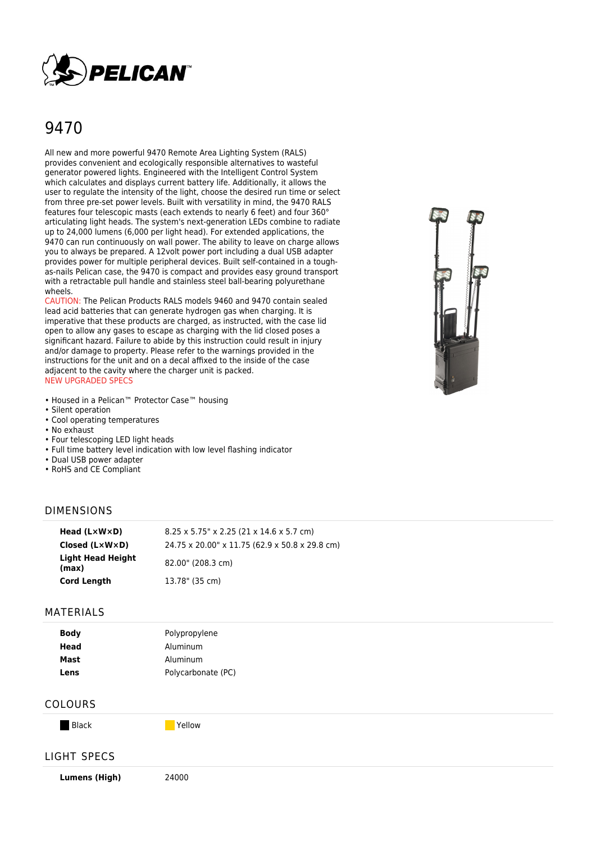

# 9470

All new and more powerful 9470 Remote Area Lighting System (RALS) provides convenient and ecologically responsible alternatives to wasteful generator powered lights. Engineered with the Intelligent Control System which calculates and displays current battery life. Additionally, it allows the user to regulate the intensity of the light, choose the desired run time or select from three pre-set power levels. Built with versatility in mind, the 9470 RALS features four telescopic masts (each extends to nearly 6 feet) and four 360° articulating light heads. The system's next-generation LEDs combine to radiate up to 24,000 lumens (6,000 per light head). For extended applications, the 9470 can run continuously on wall power. The ability to leave on charge allows you to always be prepared. A 12volt power port including a dual USB adapter provides power for multiple peripheral devices. Built self-contained in a toughas-nails Pelican case, the 9470 is compact and provides easy ground transport with a retractable pull handle and stainless steel ball-bearing polyurethane wheels.

CAUTION: The Pelican Products RALS models 9460 and 9470 contain sealed lead acid batteries that can generate hydrogen gas when charging. It is imperative that these products are charged, as instructed, with the case lid open to allow any gases to escape as charging with the lid closed poses a significant hazard. Failure to abide by this instruction could result in injury and/or damage to property. Please refer to the warnings provided in the instructions for the unit and on a decal affixed to the inside of the case adjacent to the cavity where the charger unit is packed. NEW UPGRADED SPECS

- Housed in a Pelican™ Protector Case™ housing
- Silent operation
- Cool operating temperatures
- No exhaust
- Four telescoping LED light heads
- Full time battery level indication with low level flashing indicator
- Dual USB power adapter
- RoHS and CE Compliant

#### DIMENSIONS

| Head $(L \times W \times D)$      | $8.25 \times 5.75$ " x 2.25 (21 x 14.6 x 5.7 cm) |
|-----------------------------------|--------------------------------------------------|
| Closed (L×W×D)                    | 24.75 x 20.00" x 11.75 (62.9 x 50.8 x 29.8 cm)   |
| <b>Light Head Height</b><br>(max) | 82.00" (208.3 cm)                                |
| <b>Cord Length</b>                | 13.78" (35 cm)                                   |

#### MATERIALS

| <b>Body</b> | Polypropylene      |
|-------------|--------------------|
| Head        | Aluminum           |
| Mast        | Aluminum           |
| Lens        | Polycarbonate (PC) |

### COLOURS

Black **Yellow** 

## LIGHT SPECS

**Lumens (High)** 24000